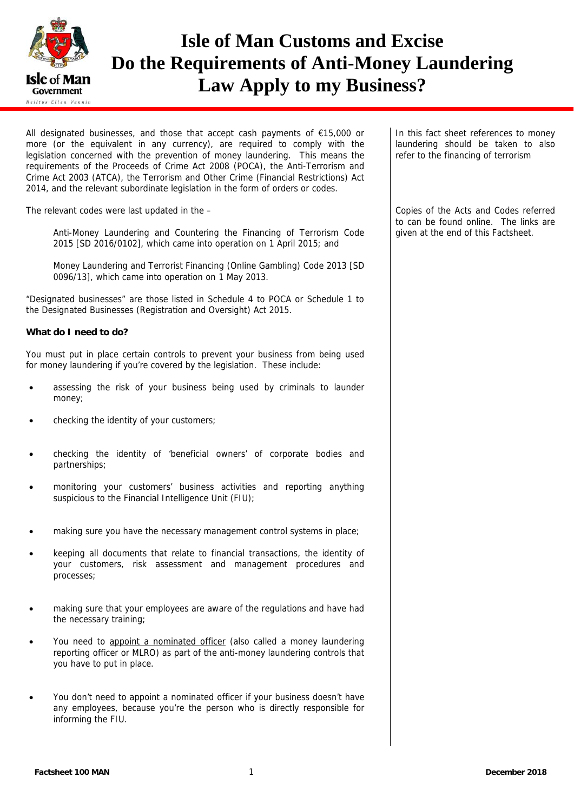

# **Isle of Man Customs and Excise Do the Requirements of Anti-Money Laundering Law Apply to my Business?**

All designated businesses, and those that accept cash payments of €15,000 or more (or the equivalent in any currency), are required to comply with the legislation concerned with the prevention of money laundering. This means the requirements of the Proceeds of Crime Act 2008 (POCA), the Anti-Terrorism and Crime Act 2003 (ATCA), the Terrorism and Other Crime (Financial Restrictions) Act 2014, and the relevant subordinate legislation in the form of orders or codes.

The relevant codes were last updated in the –

Anti-Money Laundering and Countering the Financing of Terrorism Code 2015 [SD 2016/0102], which came into operation on 1 April 2015; and

Money Laundering and Terrorist Financing (Online Gambling) Code 2013 [SD 0096/13], which came into operation on 1 May 2013.

"Designated businesses" are those listed in Schedule 4 to POCA or Schedule 1 to the Designated Businesses (Registration and Oversight) Act 2015.

#### **What do I need to do?**

You must put in place certain controls to prevent your business from being used for money laundering if you're covered by the legislation. These include:

- assessing the risk of your business being used by criminals to launder money;
- checking the identity of your customers;
- checking the identity of 'beneficial owners' of corporate bodies and partnerships;
- monitoring your customers' business activities and reporting anything suspicious to the Financial Intelligence Unit (FIU);
- making sure you have the necessary management control systems in place;
- keeping all documents that relate to financial transactions, the identity of your customers, risk assessment and management procedures and processes;
- making sure that your employees are aware of the regulations and have had the necessary training;
- You need to appoint a nominated officer (also called a money laundering reporting officer or MLRO) as part of the anti-money laundering controls that you have to put in place.
- You don't need to appoint a nominated officer if your business doesn't have any employees, because you're the person who is directly responsible for informing the FIU.

In this fact sheet references to money laundering should be taken to also refer to the financing of terrorism

Copies of the Acts and Codes referred to can be found online. The links are given at the end of this Factsheet.